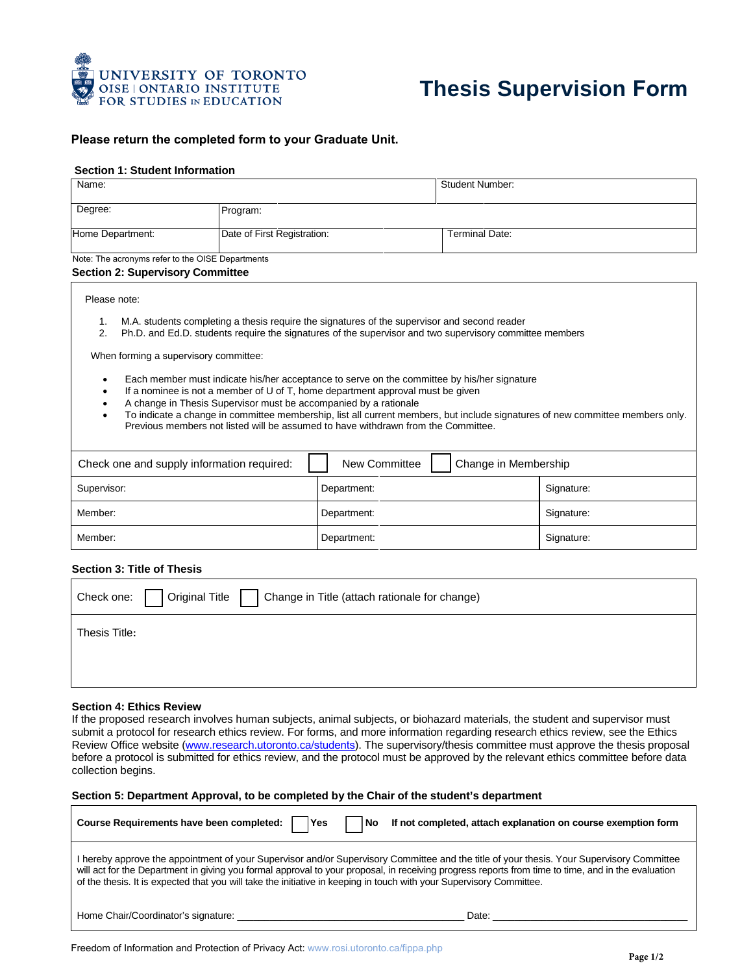

# **Thesis Supervision Form**

### **Please return the completed form to your Graduate Unit.**

### **Section 1: Student Information**

| Name:                                            |                             | <b>Student Number:</b> |
|--------------------------------------------------|-----------------------------|------------------------|
| Degree:                                          | Program:                    |                        |
| Home Department:                                 | Date of First Registration: | <b>Terminal Date:</b>  |
| Note: The aerenyme refer to the OICE Departments |                             |                        |

te: The acronyms refer to the OISE Departments **Section 2: Supervisory Committee** 

#### Please note:

- 1. M.A. students completing a thesis require the signatures of the supervisor and second reader
- 2. Ph.D. and Ed.D. students require the signatures of the supervisor and two supervisory committee members

When forming a supervisory committee:

- Each member must indicate his/her acceptance to serve on the committee by his/her signature
- If a nominee is not a member of U of T, home department approval must be given
- A change in Thesis Supervisor must be accompanied by a rationale
- To indicate a change in committee membership, list all current members, but include signatures of new committee members only. Previous members not listed will be assumed to have withdrawn from the Committee.

| Check one and supply information required: | Change in Membership<br>New Committee |            |
|--------------------------------------------|---------------------------------------|------------|
| Supervisor:                                | Department:                           | Signature: |
| Member:                                    | Department:                           | Signature: |
| Member:                                    | Department:                           | Signature: |

### **Section 3: Title of Thesis**

| Check one:   Original Title  <br>  Change in Title (attach rationale for change) |  |
|----------------------------------------------------------------------------------|--|
| Thesis Title:                                                                    |  |
|                                                                                  |  |
|                                                                                  |  |

#### **Section 4: Ethics Review**

If the proposed research involves human subjects, animal subjects, or biohazard materials, the student and supervisor must submit a protocol for research ethics review. For forms, and more information regarding research ethics review, see the Ethics Review Office website (www.research.utoronto.ca/students). The supervisory/thesis committee must approve the thesis proposal before a protocol is submitted for ethics review, and the protocol must be approved by the relevant ethics committee before data collection begins.

#### **Section 5: Department Approval, to be completed by the Chair of the student's department**

| Course Requirements have been completed:  <br><b>IYes</b>                                                                                                                                                                                                                                                                                                                                                               | l No<br>If not completed, attach explanation on course exemption form |  |
|-------------------------------------------------------------------------------------------------------------------------------------------------------------------------------------------------------------------------------------------------------------------------------------------------------------------------------------------------------------------------------------------------------------------------|-----------------------------------------------------------------------|--|
| I hereby approve the appointment of your Supervisor and/or Supervisory Committee and the title of your thesis. Your Supervisory Committee<br>will act for the Department in giving you formal approval to your proposal, in receiving progress reports from time to time, and in the evaluation<br>of the thesis. It is expected that you will take the initiative in keeping in touch with your Supervisory Committee. |                                                                       |  |
|                                                                                                                                                                                                                                                                                                                                                                                                                         |                                                                       |  |